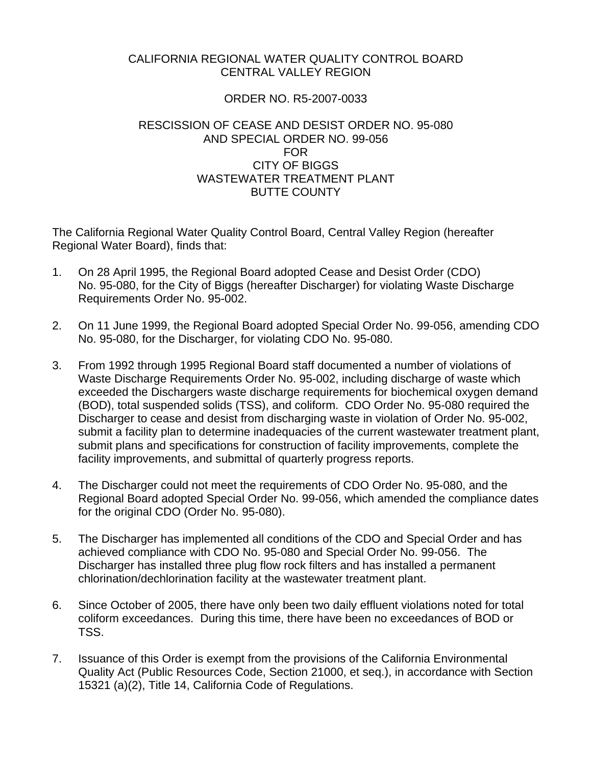## CALIFORNIA REGIONAL WATER QUALITY CONTROL BOARD CENTRAL VALLEY REGION

## ORDER NO. R5-2007-0033

## RESCISSION OF CEASE AND DESIST ORDER NO. 95-080 AND SPECIAL ORDER NO. 99-056 FOR CITY OF BIGGS WASTEWATER TREATMENT PLANT BUTTE COUNTY

The California Regional Water Quality Control Board, Central Valley Region (hereafter Regional Water Board), finds that:

- 1. On 28 April 1995, the Regional Board adopted Cease and Desist Order (CDO) No. 95-080, for the City of Biggs (hereafter Discharger) for violating Waste Discharge Requirements Order No. 95-002.
- 2. On 11 June 1999, the Regional Board adopted Special Order No. 99-056, amending CDO No. 95-080, for the Discharger, for violating CDO No. 95-080.
- 3. From 1992 through 1995 Regional Board staff documented a number of violations of Waste Discharge Requirements Order No. 95-002, including discharge of waste which exceeded the Dischargers waste discharge requirements for biochemical oxygen demand (BOD), total suspended solids (TSS), and coliform. CDO Order No. 95-080 required the Discharger to cease and desist from discharging waste in violation of Order No. 95-002, submit a facility plan to determine inadequacies of the current wastewater treatment plant, submit plans and specifications for construction of facility improvements, complete the facility improvements, and submittal of quarterly progress reports.
- 4. The Discharger could not meet the requirements of CDO Order No. 95-080, and the Regional Board adopted Special Order No. 99-056, which amended the compliance dates for the original CDO (Order No. 95-080).
- 5. The Discharger has implemented all conditions of the CDO and Special Order and has achieved compliance with CDO No. 95-080 and Special Order No. 99-056. The Discharger has installed three plug flow rock filters and has installed a permanent chlorination/dechlorination facility at the wastewater treatment plant.
- 6. Since October of 2005, there have only been two daily effluent violations noted for total coliform exceedances. During this time, there have been no exceedances of BOD or TSS.
- 7. Issuance of this Order is exempt from the provisions of the California Environmental Quality Act (Public Resources Code, Section 21000, et seq.), in accordance with Section 15321 (a)(2), Title 14, California Code of Regulations.